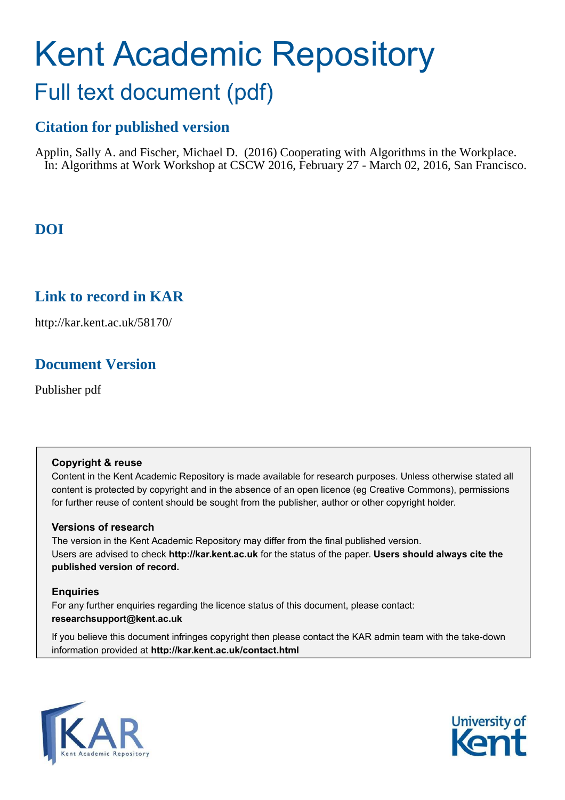# Kent Academic Repository Full text document (pdf)

# **Citation for published version**

Applin, Sally A. and Fischer, Michael D. (2016) Cooperating with Algorithms in the Workplace. In: Algorithms at Work Workshop at CSCW 2016, February 27 - March 02, 2016, San Francisco.

## **DOI**

## **Link to record in KAR**

http://kar.kent.ac.uk/58170/

## **Document Version**

Publisher pdf

### **Copyright & reuse**

Content in the Kent Academic Repository is made available for research purposes. Unless otherwise stated all content is protected by copyright and in the absence of an open licence (eg Creative Commons), permissions for further reuse of content should be sought from the publisher, author or other copyright holder.

## **Versions of research**

The version in the Kent Academic Repository may differ from the final published version. Users are advised to check **http://kar.kent.ac.uk** for the status of the paper. **Users should always cite the published version of record.**

## **Enquiries**

For any further enquiries regarding the licence status of this document, please contact: **researchsupport@kent.ac.uk**

If you believe this document infringes copyright then please contact the KAR admin team with the take-down information provided at **http://kar.kent.ac.uk/contact.html**



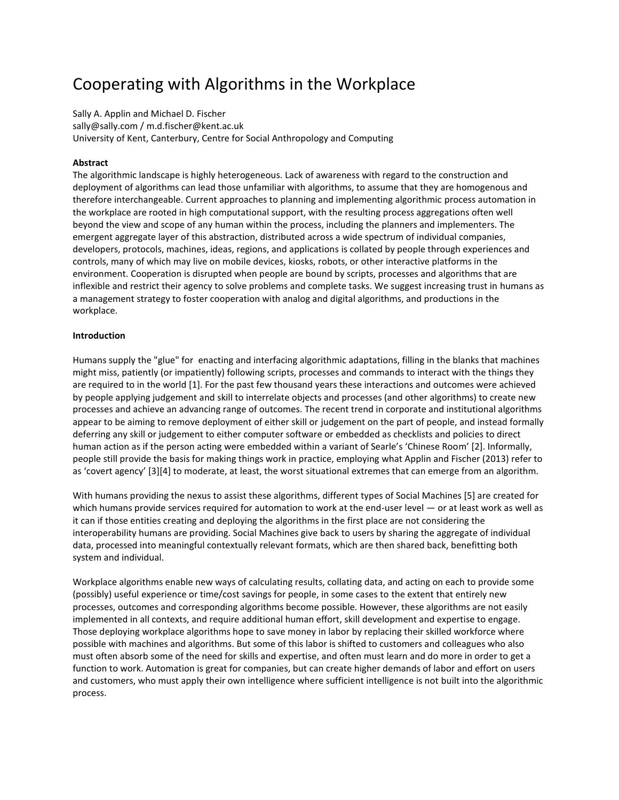# Cooperating with Algorithms in the Workplace

Sally A. Applin and Michael D. Fischer sally@sally.com / m.d.fischer@kent.ac.uk University of Kent, Canterbury, Centre for Social Anthropology and Computing

#### **Abstract**

The algorithmic landscape is highly heterogeneous. Lack of awareness with regard to the construction and deployment of algorithms can lead those unfamiliar with algorithms, to assume that they are homogenous and therefore interchangeable. Current approaches to planning and implementing algorithmic process automation in the workplace are rooted in high computational support, with the resulting process aggregations often well beyond the view and scope of any human within the process, including the planners and implementers. The emergent aggregate layer of this abstraction, distributed across a wide spectrum of individual companies, developers, protocols, machines, ideas, regions, and applications is collated by people through experiences and controls, many of which may live on mobile devices, kiosks, robots, or other interactive platforms in the environment. Cooperation is disrupted when people are bound by scripts, processes and algorithms that are inflexible and restrict their agency to solve problems and complete tasks. We suggest increasing trust in humans as a management strategy to foster cooperation with analog and digital algorithms, and productions in the workplace.

#### **Introduction**

Humans supply the "glue" for enacting and interfacing algorithmic adaptations, filling in the blanks that machines might miss, patiently (or impatiently) following scripts, processes and commands to interact with the things they are required to in the world [1]. For the past few thousand years these interactions and outcomes were achieved by people applying judgement and skill to interrelate objects and processes (and other algorithms) to create new processes and achieve an advancing range of outcomes. The recent trend in corporate and institutional algorithms appear to be aiming to remove deployment of either skill or judgement on the part of people, and instead formally deferring any skill or judgement to either computer software or embedded as checklists and policies to direct human action as if the person acting were embedded within a variant of Searle's 'Chinese Room' [2]. Informally, people still provide the basis for making things work in practice, employing what Applin and Fischer (2013) refer to as 'covert agency' [3][4] to moderate, at least, the worst situational extremes that can emerge from an algorithm.

With humans providing the nexus to assist these algorithms, different types of Social Machines [5] are created for which humans provide services required for automation to work at the end-user level  $-$  or at least work as well as it can if those entities creating and deploying the algorithms in the first place are not considering the interoperability humans are providing. Social Machines give back to users by sharing the aggregate of individual data, processed into meaningful contextually relevant formats, which are then shared back, benefitting both system and individual.

Workplace algorithms enable new ways of calculating results, collating data, and acting on each to provide some (possibly) useful experience or time/cost savings for people, in some cases to the extent that entirely new processes, outcomes and corresponding algorithms become possible. However, these algorithms are not easily implemented in all contexts, and require additional human effort, skill development and expertise to engage. Those deploying workplace algorithms hope to save money in labor by replacing their skilled workforce where possible with machines and algorithms. But some of this labor is shifted to customers and colleagues who also must often absorb some of the need for skills and expertise, and often must learn and do more in order to get a function to work. Automation is great for companies, but can create higher demands of labor and effort on users and customers, who must apply their own intelligence where sufficient intelligence is not built into the algorithmic process.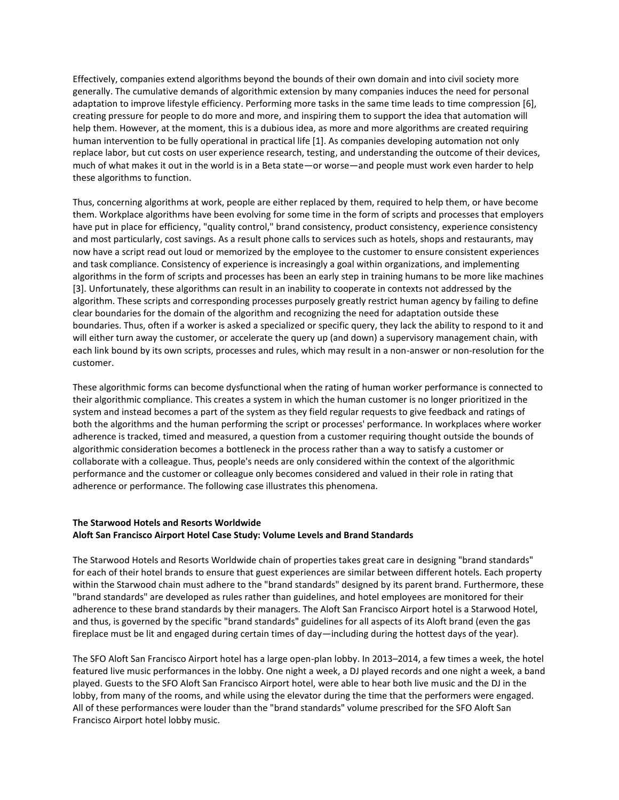Effectively, companies extend algorithms beyond the bounds of their own domain and into civil society more generally. The cumulative demands of algorithmic extension by many companies induces the need for personal adaptation to improve lifestyle efficiency. Performing more tasks in the same time leads to time compression [6], creating pressure for people to do more and more, and inspiring them to support the idea that automation will help them. However, at the moment, this is a dubious idea, as more and more algorithms are created requiring human intervention to be fully operational in practical life [1]. As companies developing automation not only replace labor, but cut costs on user experience research, testing, and understanding the outcome of their devices, much of what makes it out in the world is in a Beta state-or worse-and people must work even harder to help these algorithms to function.

Thus, concerning algorithms at work, people are either replaced by them, required to help them, or have become them. Workplace algorithms have been evolving for some time in the form of scripts and processes that employers have put in place for efficiency, "quality control," brand consistency, product consistency, experience consistency and most particularly, cost savings. As a result phone calls to services such as hotels, shops and restaurants, may now have a script read out loud or memorized by the employee to the customer to ensure consistent experiences and task compliance. Consistency of experience is increasingly a goal within organizations, and implementing algorithms in the form of scripts and processes has been an early step in training humans to be more like machines [3]. Unfortunately, these algorithms can result in an inability to cooperate in contexts not addressed by the algorithm. These scripts and corresponding processes purposely greatly restrict human agency by failing to define clear boundaries for the domain of the algorithm and recognizing the need for adaptation outside these boundaries. Thus, often if a worker is asked a specialized or specific query, they lack the ability to respond to it and will either turn away the customer, or accelerate the query up (and down) a supervisory management chain, with each link bound by its own scripts, processes and rules, which may result in a non-answer or non-resolution for the customer.

These algorithmic forms can become dysfunctional when the rating of human worker performance is connected to their algorithmic compliance. This creates a system in which the human customer is no longer prioritized in the system and instead becomes a part of the system as they field regular requests to give feedback and ratings of both the algorithms and the human performing the script or processes' performance. In workplaces where worker adherence is tracked, timed and measured, a question from a customer requiring thought outside the bounds of algorithmic consideration becomes a bottleneck in the process rather than a way to satisfy a customer or collaborate with a colleague. Thus, people's needs are only considered within the context of the algorithmic performance and the customer or colleague only becomes considered and valued in their role in rating that adherence or performance. The following case illustrates this phenomena.

#### **The Starwood Hotels and Resorts Worldwide Aloft San Francisco Airport Hotel Case Study: Volume Levels and Brand Standards**

The Starwood Hotels and Resorts Worldwide chain of properties takes great care in designing "brand standards" for each of their hotel brands to ensure that guest experiences are similar between different hotels. Each property within the Starwood chain must adhere to the "brand standards" designed by its parent brand. Furthermore, these "brand standards" are developed as rules rather than guidelines, and hotel employees are monitored for their adherence to these brand standards by their managers. The Aloft San Francisco Airport hotel is a Starwood Hotel, and thus, is governed by the specific "brand standards" guidelines for all aspects of its Aloft brand (even the gas fireplace must be lit and engaged during certain times of day—including during the hottest days of the year).

The SFO Aloft San Francisco Airport hotel has a large open-plan lobby. In 2013-2014, a few times a week, the hotel featured live music performances in the lobby. One night a week, a DJ played records and one night a week, a band played. Guests to the SFO Aloft San Francisco Airport hotel, were able to hear both live music and the DJ in the lobby, from many of the rooms, and while using the elevator during the time that the performers were engaged. All of these performances were louder than the "brand standards" volume prescribed for the SFO Aloft San Francisco Airport hotel lobby music.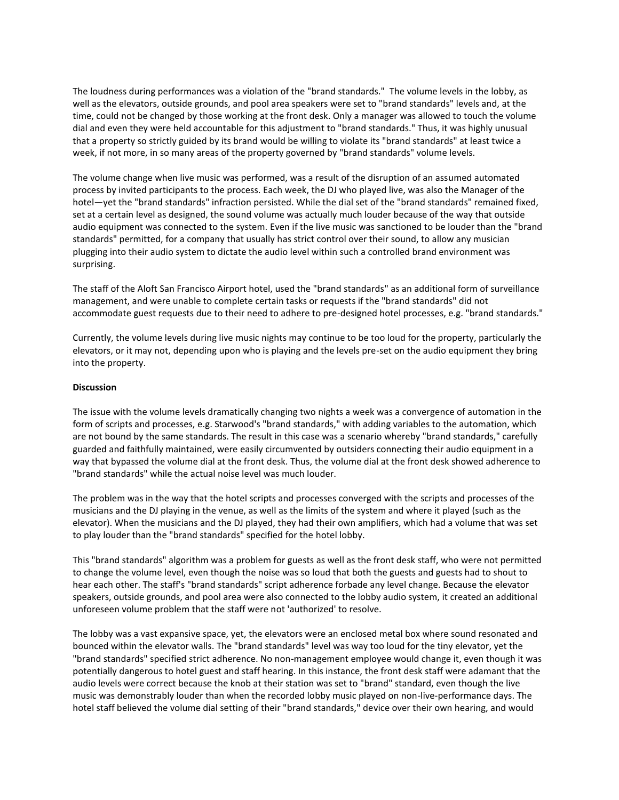The loudness during performances was a violation of the "brand standards." The volume levels in the lobby, as well as the elevators, outside grounds, and pool area speakers were set to "brand standards" levels and, at the time, could not be changed by those working at the front desk. Only a manager was allowed to touch the volume dial and even they were held accountable for this adjustment to "brand standards." Thus, it was highly unusual that a property so strictly guided by its brand would be willing to violate its "brand standards" at least twice a week, if not more, in so many areas of the property governed by "brand standards" volume levels.

The volume change when live music was performed, was a result of the disruption of an assumed automated process by invited participants to the process. Each week, the DJ who played live, was also the Manager of the hotel—yet the "brand standards" infraction persisted. While the dial set of the "brand standards" remained fixed, set at a certain level as designed, the sound volume was actually much louder because of the way that outside audio equipment was connected to the system. Even if the live music was sanctioned to be louder than the "brand standards" permitted, for a company that usually has strict control over their sound, to allow any musician plugging into their audio system to dictate the audio level within such a controlled brand environment was surprising.

The staff of the Aloft San Francisco Airport hotel, used the "brand standards" as an additional form of surveillance management, and were unable to complete certain tasks or requests if the "brand standards" did not accommodate guest requests due to their need to adhere to pre-designed hotel processes, e.g. "brand standards."

Currently, the volume levels during live music nights may continue to be too loud for the property, particularly the elevators, or it may not, depending upon who is playing and the levels pre-set on the audio equipment they bring into the property.

#### **Discussion**

The issue with the volume levels dramatically changing two nights a week was a convergence of automation in the form of scripts and processes, e.g. Starwood's "brand standards," with adding variables to the automation, which are not bound by the same standards. The result in this case was a scenario whereby "brand standards," carefully guarded and faithfully maintained, were easily circumvented by outsiders connecting their audio equipment in a way that bypassed the volume dial at the front desk. Thus, the volume dial at the front desk showed adherence to "brand standards" while the actual noise level was much louder.

The problem was in the way that the hotel scripts and processes converged with the scripts and processes of the musicians and the DJ playing in the venue, as well as the limits of the system and where it played (such as the elevator). When the musicians and the DJ played, they had their own amplifiers, which had a volume that was set to play louder than the "brand standards" specified for the hotel lobby.

This "brand standards" algorithm was a problem for guests as well as the front desk staff, who were not permitted to change the volume level, even though the noise was so loud that both the guests and guests had to shout to hear each other. The staff's "brand standards" script adherence forbade any level change. Because the elevator speakers, outside grounds, and pool area were also connected to the lobby audio system, it created an additional unforeseen volume problem that the staff were not 'authorized' to resolve.

The lobby was a vast expansive space, yet, the elevators were an enclosed metal box where sound resonated and bounced within the elevator walls. The "brand standards" level was way too loud for the tiny elevator, yet the "brand standards" specified strict adherence. No non-management employee would change it, even though it was potentially dangerous to hotel guest and staff hearing. In this instance, the front desk staff were adamant that the audio levels were correct because the knob at their station was set to "brand" standard, even though the live music was demonstrably louder than when the recorded lobby music played on non-live-performance days. The hotel staff believed the volume dial setting of their "brand standards," device over their own hearing, and would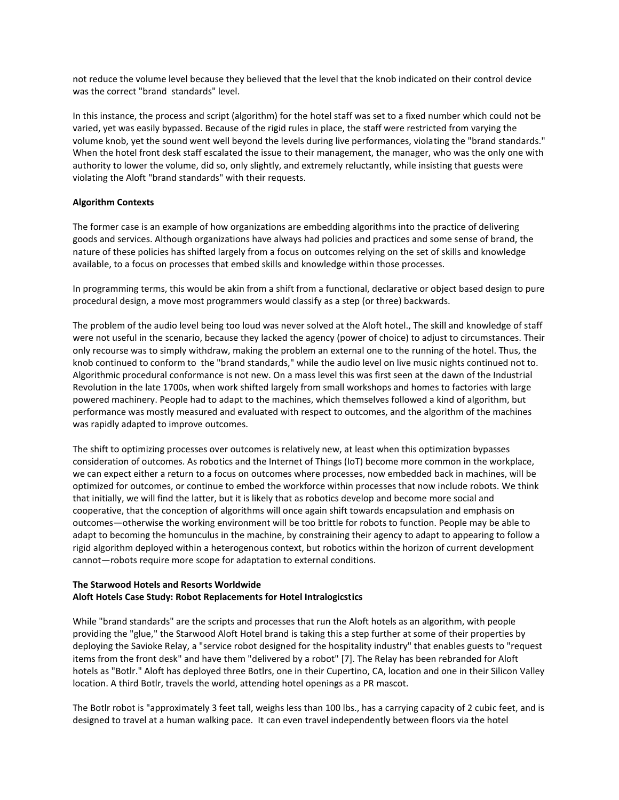not reduce the volume level because they believed that the level that the knob indicated on their control device was the correct "brand standards" level.

In this instance, the process and script (algorithm) for the hotel staff was set to a fixed number which could not be varied, yet was easily bypassed. Because of the rigid rules in place, the staff were restricted from varying the volume knob, yet the sound went well beyond the levels during live performances, violating the "brand standards." When the hotel front desk staff escalated the issue to their management, the manager, who was the only one with authority to lower the volume, did so, only slightly, and extremely reluctantly, while insisting that guests were violating the Aloft "brand standards" with their requests.

#### **Algorithm Contexts**

The former case is an example of how organizations are embedding algorithms into the practice of delivering goods and services. Although organizations have always had policies and practices and some sense of brand, the nature of these policies has shifted largely from a focus on outcomes relying on the set of skills and knowledge available, to a focus on processes that embed skills and knowledge within those processes.

In programming terms, this would be akin from a shift from a functional, declarative or object based design to pure procedural design, a move most programmers would classify as a step (or three) backwards.

The problem of the audio level being too loud was never solved at the Aloft hotel., The skill and knowledge of staff were not useful in the scenario, because they lacked the agency (power of choice) to adjust to circumstances. Their only recourse was to simply withdraw, making the problem an external one to the running of the hotel. Thus, the knob continued to conform to the "brand standards," while the audio level on live music nights continued not to. Algorithmic procedural conformance is not new. On a mass level this was first seen at the dawn of the Industrial Revolution in the late 1700s, when work shifted largely from small workshops and homes to factories with large powered machinery. People had to adapt to the machines, which themselves followed a kind of algorithm, but performance was mostly measured and evaluated with respect to outcomes, and the algorithm of the machines was rapidly adapted to improve outcomes.

The shift to optimizing processes over outcomes is relatively new, at least when this optimization bypasses consideration of outcomes. As robotics and the Internet of Things (IoT) become more common in the workplace, we can expect either a return to a focus on outcomes where processes, now embedded back in machines, will be optimized for outcomes, or continue to embed the workforce within processes that now include robots. We think that initially, we will find the latter, but it is likely that as robotics develop and become more social and cooperative, that the conception of algorithms will once again shift towards encapsulation and emphasis on outcomes—otherwise the working environment will be too brittle for robots to function. People may be able to adapt to becoming the homunculus in the machine, by constraining their agency to adapt to appearing to follow a rigid algorithm deployed within a heterogenous context, but robotics within the horizon of current development cannot-robots require more scope for adaptation to external conditions.

#### **The Starwood Hotels and Resorts Worldwide Aloft Hotels Case Study: Robot Replacements for Hotel Intralogicstics**

While "brand standards" are the scripts and processes that run the Aloft hotels as an algorithm, with people providing the "glue," the Starwood Aloft Hotel brand is taking this a step further at some of their properties by deploying the Savioke Relay, a "service robot designed for the hospitality industry" that enables guests to "request items from the front desk" and have them "delivered by a robot" [7]. The Relay has been rebranded for Aloft hotels as "Botlr." Aloft has deployed three Botlrs, one in their Cupertino, CA, location and one in their Silicon Valley location. A third Botlr, travels the world, attending hotel openings as a PR mascot.

The Botlr robot is "approximately 3 feet tall, weighs less than 100 lbs., has a carrying capacity of 2 cubic feet, and is designed to travel at a human walking pace. It can even travel independently between floors via the hotel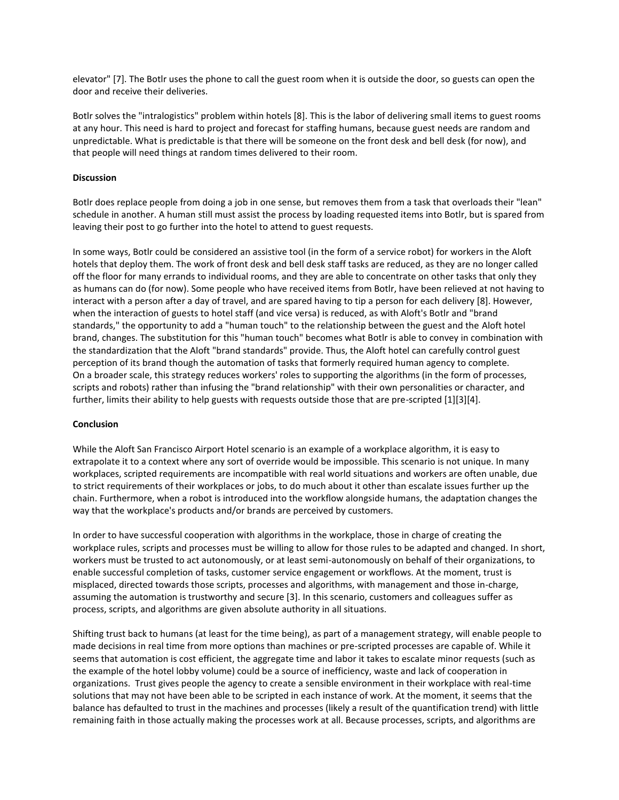elevator" [7]. The Botlr uses the phone to call the guest room when it is outside the door, so guests can open the door and receive their deliveries.

Botlr solves the "intralogistics" problem within hotels [8]. This is the labor of delivering small items to guest rooms at any hour. This need is hard to project and forecast for staffing humans, because guest needs are random and unpredictable. What is predictable is that there will be someone on the front desk and bell desk (for now), and that people will need things at random times delivered to their room.

#### **Discussion**

Botlr does replace people from doing a job in one sense, but removes them from a task that overloads their "lean" schedule in another. A human still must assist the process by loading requested items into Botlr, but is spared from leaving their post to go further into the hotel to attend to guest requests.

In some ways, Botlr could be considered an assistive tool (in the form of a service robot) for workers in the Aloft hotels that deploy them. The work of front desk and bell desk staff tasks are reduced, as they are no longer called off the floor for many errands to individual rooms, and they are able to concentrate on other tasks that only they as humans can do (for now). Some people who have received items from Botlr, have been relieved at not having to interact with a person after a day of travel, and are spared having to tip a person for each delivery [8]. However, when the interaction of guests to hotel staff (and vice versa) is reduced, as with Aloft's Botlr and "brand standards," the opportunity to add a "human touch" to the relationship between the guest and the Aloft hotel brand, changes. The substitution for this "human touch" becomes what Botlr is able to convey in combination with the standardization that the Aloft "brand standards" provide. Thus, the Aloft hotel can carefully control guest perception of its brand though the automation of tasks that formerly required human agency to complete. On a broader scale, this strategy reduces workers' roles to supporting the algorithms (in the form of processes, scripts and robots) rather than infusing the "brand relationship" with their own personalities or character, and further, limits their ability to help guests with requests outside those that are pre-scripted [1][3][4].

#### **Conclusion**

While the Aloft San Francisco Airport Hotel scenario is an example of a workplace algorithm, it is easy to extrapolate it to a context where any sort of override would be impossible. This scenario is not unique. In many workplaces, scripted requirements are incompatible with real world situations and workers are often unable, due to strict requirements of their workplaces or jobs, to do much about it other than escalate issues further up the chain. Furthermore, when a robot is introduced into the workflow alongside humans, the adaptation changes the way that the workplace's products and/or brands are perceived by customers.

In order to have successful cooperation with algorithms in the workplace, those in charge of creating the workplace rules, scripts and processes must be willing to allow for those rules to be adapted and changed. In short, workers must be trusted to act autonomously, or at least semi-autonomously on behalf of their organizations, to enable successful completion of tasks, customer service engagement or workflows. At the moment, trust is misplaced, directed towards those scripts, processes and algorithms, with management and those in-charge, assuming the automation is trustworthy and secure [3]. In this scenario, customers and colleagues suffer as process, scripts, and algorithms are given absolute authority in all situations.

Shifting trust back to humans (at least for the time being), as part of a management strategy, will enable people to made decisions in real time from more options than machines or pre-scripted processes are capable of. While it seems that automation is cost efficient, the aggregate time and labor it takes to escalate minor requests (such as the example of the hotel lobby volume) could be a source of inefficiency, waste and lack of cooperation in organizations. Trust gives people the agency to create a sensible environment in their workplace with real-time solutions that may not have been able to be scripted in each instance of work. At the moment, it seems that the balance has defaulted to trust in the machines and processes (likely a result of the quantification trend) with little remaining faith in those actually making the processes work at all. Because processes, scripts, and algorithms are